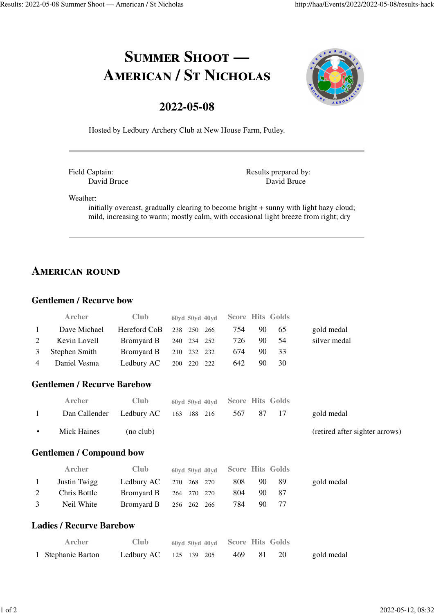# SUMMER SHOOT -AMERICAN / ST NICHOLAS

## **2022-05-08**



Hosted by Ledbury Archery Club at New House Farm, Putley.

Field Captain: David Bruce Results prepared by: David Bruce

Weather:

initially overcast, gradually clearing to become bright + sunny with light hazy cloud; mild, increasing to warm; mostly calm, with occasional light breeze from right; dry

# **AMERICAN ROUND**

#### **Gentlemen / Recurve bow**

|                                 | <b>Archer</b>                      | Club              | 60yd 50yd 40yd    |     | <b>Score Hits Golds</b> |                                |  |
|---------------------------------|------------------------------------|-------------------|-------------------|-----|-------------------------|--------------------------------|--|
| 1                               | Dave Michael                       | Hereford CoB      | 238<br>250<br>266 | 754 | 90<br>65                | gold medal                     |  |
| 2                               | Kevin Lovell                       | Bromyard B        | 234<br>240<br>252 | 726 | 54<br>90                | silver medal                   |  |
| 3                               | Stephen Smith                      | Bromyard B        | 210<br>232<br>232 | 674 | 33<br>90                |                                |  |
| $\overline{4}$                  | Daniel Vesma                       | Ledbury AC        | 220<br>200<br>222 | 642 | 90<br>30                |                                |  |
|                                 | <b>Gentlemen / Recurve Barebow</b> |                   |                   |     |                         |                                |  |
|                                 | Archer                             | Club              | 60yd 50yd 40yd    |     | <b>Score Hits Golds</b> |                                |  |
| $\mathbf{1}$                    | Dan Callender                      | Ledbury AC        | 163<br>188 216    | 567 | 17<br>87                | gold medal                     |  |
| $\bullet$                       | <b>Mick Haines</b>                 | (no club)         |                   |     |                         | (retired after sighter arrows) |  |
| <b>Gentlemen / Compound bow</b> |                                    |                   |                   |     |                         |                                |  |
|                                 | <b>Archer</b>                      | <b>Club</b>       | 60yd 50yd 40yd    |     | <b>Score Hits Golds</b> |                                |  |
| 1                               | Justin Twigg                       | Ledbury AC        | 268<br>270<br>270 | 808 | 89<br>90                | gold medal                     |  |
| 2                               | Chris Bottle                       | <b>Bromyard B</b> | 270<br>270<br>264 | 804 | 90<br>87                |                                |  |
| 3                               | Neil White                         | <b>Bromyard B</b> | 256<br>262<br>266 | 784 | 77<br>90                |                                |  |
|                                 | <b>Ladies / Recurve Barebow</b>    |                   |                   |     |                         |                                |  |
|                                 | Archer                             | Club              | 60vd 50vd 40vd    |     | <b>Score Hits Golds</b> |                                |  |
|                                 | 1 Stephanie Barton                 | Ledbury AC        | 125<br>139 205    | 469 | 20<br>81                | gold medal                     |  |